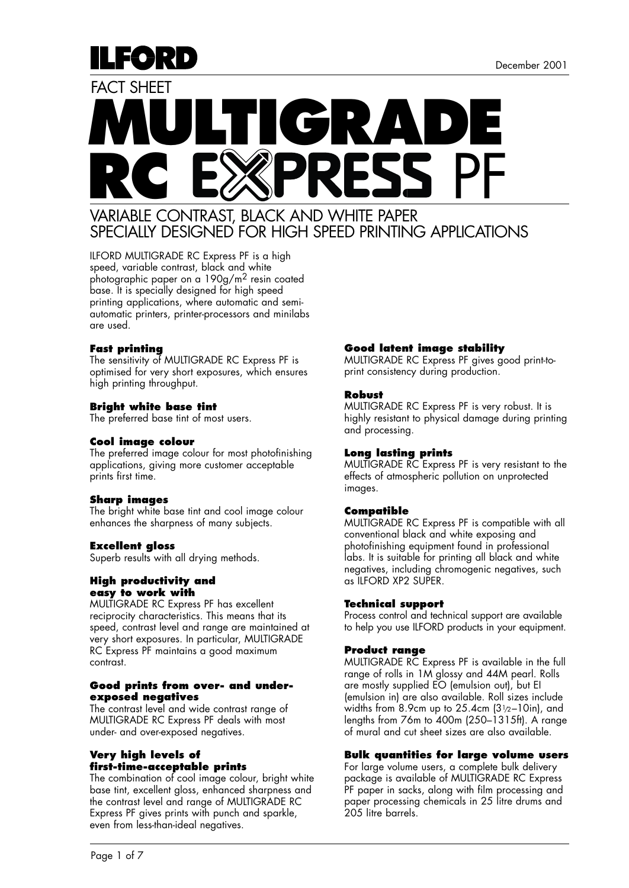

# **MULTIGRADE** RC EXPRESS PF FACT SHEFT

## VARIABLE CONTRAST, BLACK AND WHITE PAPER SPECIALLY DESIGNED FOR HIGH SPEED PRINTING APPLICATIONS

ILFORD MULTIGRADE RC Express PF is a high speed, variable contrast, black and white photographic paper on a 190g/m2 resin coated base. It is specially designed for high speed printing applications, where automatic and semiautomatic printers, printer-processors and minilabs are used.

## **Fast printing**

The sensitivity of MULTIGRADE RC Express PF is optimised for very short exposures, which ensures high printing throughput.

#### **Bright white base tint**

The preferred base tint of most users.

#### **Cool image colour**

The preferred image colour for most photofinishing applications, giving more customer acceptable prints first time.

#### **Sharp images**

The bright white base tint and cool image colour enhances the sharpness of many subjects.

## **Excellent gloss**

Superb results with all drying methods.

#### **High productivity and easy to work with**

MULTIGRADE RC Express PF has excellent reciprocity characteristics. This means that its speed, contrast level and range are maintained at very short exposures. In particular, MULTIGRADE RC Express PF maintains a good maximum contrast.

#### **Good prints from over- and underexposed negatives**

The contrast level and wide contrast range of MULTIGRADE RC Express PF deals with most under- and over-exposed negatives.

## **Very high levels of first-time-acceptable prints**

The combination of cool image colour, bright white base tint, excellent gloss, enhanced sharpness and the contrast level and range of MULTIGRADE RC Express PF gives prints with punch and sparkle, even from less-than-ideal negatives.

## **Good latent image stability**

MULTIGRADE RC Express PF gives good print-toprint consistency during production.

#### **Robust**

MULTIGRADE RC Express PF is very robust. It is highly resistant to physical damage during printing and processing.

## **Long lasting prints**

MULTIGRADE RC Express PF is very resistant to the effects of atmospheric pollution on unprotected images.

## **Compatible**

MULTIGRADE RC Express PF is compatible with all conventional black and white exposing and photofinishing equipment found in professional labs. It is suitable for printing all black and white negatives, including chromogenic negatives, such as ILFORD XP2 SUPER.

## **Technical support**

Process control and technical support are available to help you use ILFORD products in your equipment.

## **Product range**

MULTIGRADE RC Express PF is available in the full range of rolls in 1M glossy and 44M pearl. Rolls are mostly supplied EO (emulsion out), but EI (emulsion in) are also available. Roll sizes include widths from 8.9cm up to 25.4cm (31/2–10in), and lengths from 76m to 400m (250–1315ft). A range of mural and cut sheet sizes are also available.

#### **Bulk quantities for large volume users**

For large volume users, a complete bulk delivery package is available of MULTIGRADE RC Express PF paper in sacks, along with film processing and paper processing chemicals in 25 litre drums and 205 litre barrels.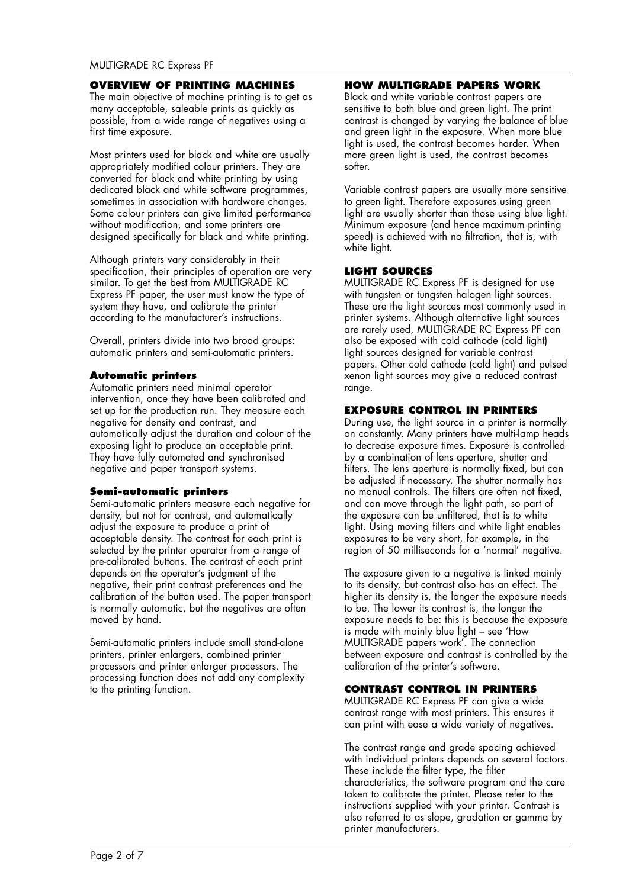#### **OVERVIEW OF PRINTING MACHINES**

The main objective of machine printing is to get as many acceptable, saleable prints as quickly as possible, from a wide range of negatives using a first time exposure.

Most printers used for black and white are usually appropriately modified colour printers. They are converted for black and white printing by using dedicated black and white software programmes, sometimes in association with hardware changes. Some colour printers can give limited performance without modification, and some printers are designed specifically for black and white printing.

Although printers vary considerably in their specification, their principles of operation are very similar. To get the best from MULTIGRADE RC Express PF paper, the user must know the type of system they have, and calibrate the printer according to the manufacturer's instructions.

Overall, printers divide into two broad groups: automatic printers and semi-automatic printers.

## **Automatic printers**

Automatic printers need minimal operator intervention, once they have been calibrated and set up for the production run. They measure each negative for density and contrast, and automatically adjust the duration and colour of the exposing light to produce an acceptable print. They have fully automated and synchronised negative and paper transport systems.

## **Semi-automatic printers**

Semi-automatic printers measure each negative for density, but not for contrast, and automatically adjust the exposure to produce a print of acceptable density. The contrast for each print is selected by the printer operator from a range of pre-calibrated buttons. The contrast of each print depends on the operator's judgment of the negative, their print contrast preferences and the calibration of the button used. The paper transport is normally automatic, but the negatives are often moved by hand.

Semi-automatic printers include small stand-alone printers, printer enlargers, combined printer processors and printer enlarger processors. The processing function does not add any complexity to the printing function.

## **HOW MULTIGRADE PAPERS WORK**

Black and white variable contrast papers are sensitive to both blue and green light. The print contrast is changed by varying the balance of blue and green light in the exposure. When more blue light is used, the contrast becomes harder. When more green light is used, the contrast becomes softer.

Variable contrast papers are usually more sensitive to green light. Therefore exposures using green light are usually shorter than those using blue light. Minimum exposure (and hence maximum printing speed) is achieved with no filtration, that is, with white light.

## **LIGHT SOURCES**

MULTIGRADE RC Express PF is designed for use with tungsten or tungsten halogen light sources. These are the light sources most commonly used in printer systems. Although alternative light sources are rarely used, MULTIGRADE RC Express PF can also be exposed with cold cathode (cold light) light sources designed for variable contrast papers. Other cold cathode (cold light) and pulsed xenon light sources may give a reduced contrast range.

## **EXPOSURE CONTROL IN PRINTERS**

During use, the light source in a printer is normally on constantly. Many printers have multi-lamp heads to decrease exposure times. Exposure is controlled by a combination of lens aperture, shutter and filters. The lens aperture is normally fixed, but can be adjusted if necessary. The shutter normally has no manual controls. The filters are often not fixed, and can move through the light path, so part of the exposure can be unfiltered, that is to white light. Using moving filters and white light enables exposures to be very short, for example, in the region of 50 milliseconds for a 'normal' negative.

The exposure given to a negative is linked mainly to its density, but contrast also has an effect. The higher its density is, the longer the exposure needs to be. The lower its contrast is, the longer the exposure needs to be: this is because the exposure is made with mainly blue light – see 'How MULTIGRADE papers work'. The connection between exposure and contrast is controlled by the calibration of the printer's software.

## **CONTRAST CONTROL IN PRINTERS**

MULTIGRADE RC Express PF can give a wide contrast range with most printers. This ensures it can print with ease a wide variety of negatives.

The contrast range and grade spacing achieved with individual printers depends on several factors. These include the filter type, the filter characteristics, the software program and the care taken to calibrate the printer. Please refer to the instructions supplied with your printer. Contrast is also referred to as slope, gradation or gamma by printer manufacturers.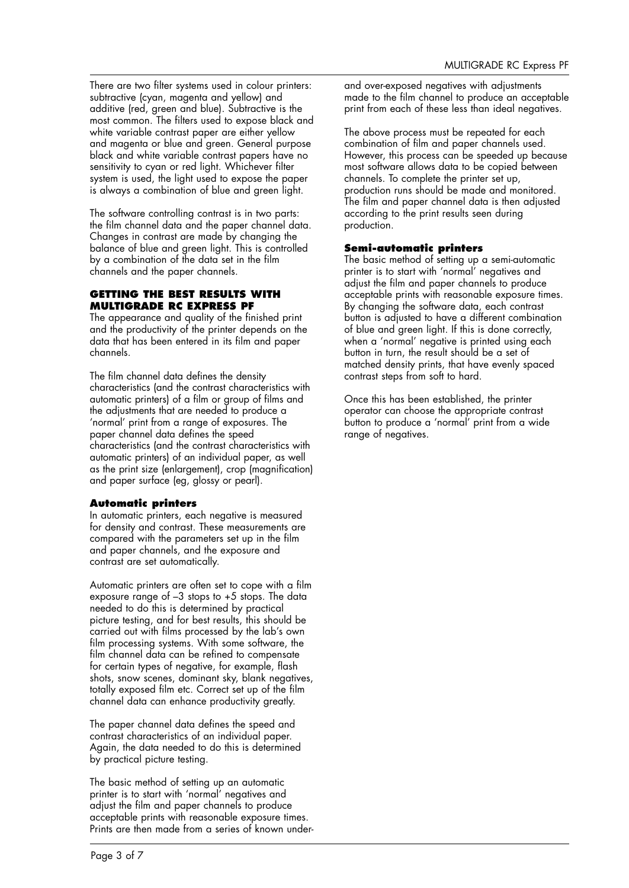There are two filter systems used in colour printers: subtractive (cyan, magenta and yellow) and additive (red, green and blue). Subtractive is the most common. The filters used to expose black and white variable contrast paper are either yellow and magenta or blue and green. General purpose black and white variable contrast papers have no sensitivity to cyan or red light. Whichever filter system is used, the light used to expose the paper is always a combination of blue and green light.

The software controlling contrast is in two parts: the film channel data and the paper channel data. Changes in contrast are made by changing the balance of blue and green light. This is controlled by a combination of the data set in the film channels and the paper channels.

## **GETTING THE BEST RESULTS WITH MULTIGRADE RC EXPRESS PF**

The appearance and quality of the finished print and the productivity of the printer depends on the data that has been entered in its film and paper channels.

The film channel data defines the density characteristics (and the contrast characteristics with automatic printers) of a film or group of films and the adjustments that are needed to produce a 'normal' print from a range of exposures. The paper channel data defines the speed characteristics (and the contrast characteristics with automatic printers) of an individual paper, as well as the print size (enlargement), crop (magnification) and paper surface (eg, glossy or pearl).

## **Automatic printers**

In automatic printers, each negative is measured for density and contrast. These measurements are compared with the parameters set up in the film and paper channels, and the exposure and contrast are set automatically.

Automatic printers are often set to cope with a film exposure range of –3 stops to +5 stops. The data needed to do this is determined by practical picture testing, and for best results, this should be carried out with films processed by the lab's own film processing systems. With some software, the film channel data can be refined to compensate for certain types of negative, for example, flash shots, snow scenes, dominant sky, blank negatives, totally exposed film etc. Correct set up of the film channel data can enhance productivity greatly.

The paper channel data defines the speed and contrast characteristics of an individual paper. Again, the data needed to do this is determined by practical picture testing.

The basic method of setting up an automatic printer is to start with 'normal' negatives and adjust the film and paper channels to produce acceptable prints with reasonable exposure times. Prints are then made from a series of known underand over-exposed negatives with adjustments made to the film channel to produce an acceptable print from each of these less than ideal negatives.

The above process must be repeated for each combination of film and paper channels used. However, this process can be speeded up because most software allows data to be copied between channels. To complete the printer set up, production runs should be made and monitored. The film and paper channel data is then adjusted according to the print results seen during production.

## **Semi-automatic printers**

The basic method of setting up a semi-automatic printer is to start with 'normal' negatives and adjust the film and paper channels to produce acceptable prints with reasonable exposure times. By changing the software data, each contrast button is adjusted to have a different combination of blue and green light. If this is done correctly, when a 'normal' negative is printed using each button in turn, the result should be a set of matched density prints, that have evenly spaced contrast steps from soft to hard.

Once this has been established, the printer operator can choose the appropriate contrast button to produce a 'normal' print from a wide range of negatives.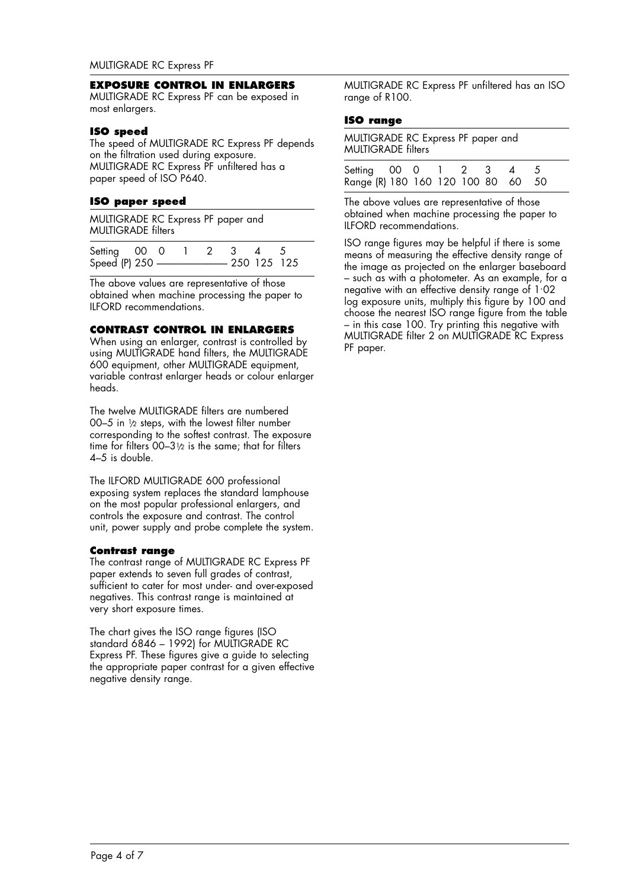#### **EXPOSURE CONTROL IN ENLARGERS**

MULTIGRADE RC Express PF can be exposed in most enlargers.

#### **ISO speed**

The speed of MULTIGRADE RC Express PF depends on the filtration used during exposure. MULTIGRADE RC Express PF unfiltered has a paper speed of ISO P640.

#### **ISO paper speed**

MULTIGRADE RC Express PF paper and MULTIGRADE filters

| Setting 00 0 |  |  |  |  |
|--------------|--|--|--|--|
|              |  |  |  |  |

The above values are representative of those obtained when machine processing the paper to ILFORD recommendations.

## **CONTRAST CONTROL IN ENLARGERS**

When using an enlarger, contrast is controlled by using MULTIGRADE hand filters, the MULTIGRADE 600 equipment, other MULTIGRADE equipment, variable contrast enlarger heads or colour enlarger heads.

The twelve MULTIGRADE filters are numbered 00–5 in  $\frac{1}{2}$  steps, with the lowest filter number corresponding to the softest contrast. The exposure time for filters  $00-3\frac{1}{2}$  is the same; that for filters 4–5 is double.

The ILFORD MULTIGRADE 600 professional exposing system replaces the standard lamphouse on the most popular professional enlargers, and controls the exposure and contrast. The control unit, power supply and probe complete the system.

#### **Contrast range**

The contrast range of MULTIGRADE RC Express PF paper extends to seven full grades of contrast, sufficient to cater for most under- and over-exposed negatives. This contrast range is maintained at very short exposure times.

The chart gives the ISO range figures (ISO standard 6846 - 1992) for MULTIGRADE RC Express PF. These figures give a guide to selecting the appropriate paper contrast for a given effective negative density range.

MULTIGRADE RC Express PF unfiltered has an ISO range of R100.

## **ISO range**

MULTIGRADE RC Express PF paper and MULTIGRADE filters

| Setting 00 0 1 2 3 4 5             |  |  |  |  |
|------------------------------------|--|--|--|--|
| Range (R) 180 160 120 100 80 60 50 |  |  |  |  |

The above values are representative of those obtained when machine processing the paper to ILFORD recommendations.

ISO range figures may be helpful if there is some means of measuring the effective density range of the image as projected on the enlarger baseboard – such as with a photometer. As an example, for a negative with an effective density range of 1. 02 log exposure units, multiply this figure by 100 and choose the nearest ISO range figure from the table – in this case 100. Try printing this negative with MULTIGRADE filter 2 on MULTIGRADE RC Express PF paper.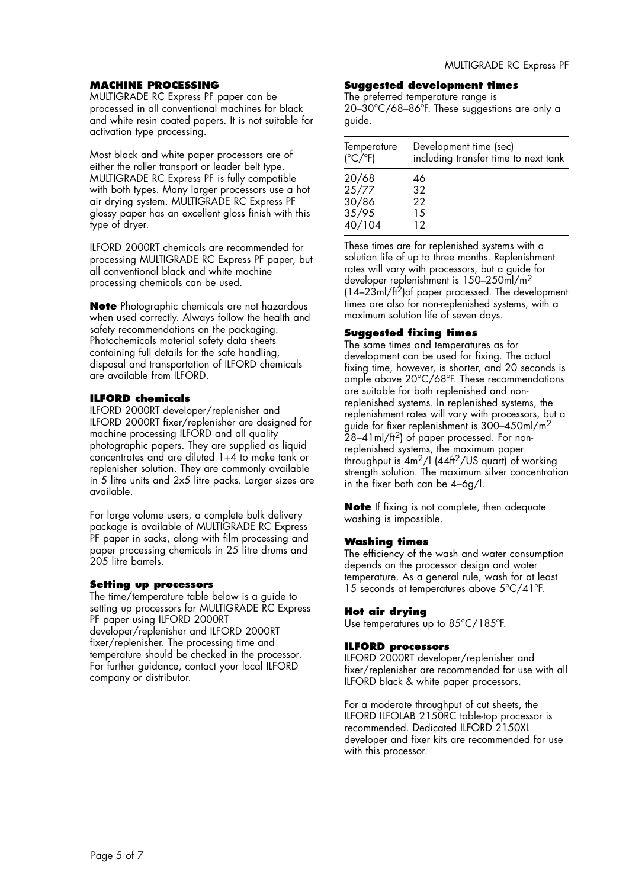## **MACHINE PROCESSING**

MULTIGRADE RC Express PF paper can be processed in all conventional machines for black and white resin coated papers. It is not suitable for activation type processing.

Most black and white paper processors are of either the roller transport or leader belt type. MULTIGRADE RC Express PF is fully compatible with both types. Many larger processors use a hot air drying system. MULTIGRADE RC Express PF glossy paper has an excellent gloss finish with this type of dryer.

ILFORD 2000RT chemicals are recommended for processing MULTIGRADE RC Express PF paper, but all conventional black and white machine processing chemicals can be used.

**Note** Photographic chemicals are not hazardous when used correctly. Always follow the health and safety recommendations on the packaging. Photochemicals material safety data sheets containing full details for the safe handling, disposal and transportation of ILFORD chemicals are available from ILFORD.

## **ILFORD chemicals**

ILFORD 2000RT developer/replenisher and ILFORD 2000RT fixer/replenisher are designed for machine processing ILFORD and all quality photographic papers. They are supplied as liquid concentrates and are diluted 1+4 to make tank or replenisher solution. They are commonly available in 5 litre units and 2x5 litre packs. Larger sizes are available.

For large volume users, a complete bulk delivery package is available of MULTIGRADE RC Express PF paper in sacks, along with film processing and paper processing chemicals in 25 litre drums and 205 litre barrels.

## **Setting up processors**

The time/temperature table below is a guide to setting up processors for MULTIGRADE RC Express PF paper using ILFORD 2000RT developer/replenisher and ILFORD 2000RT fixer/replenisher. The processing time and temperature should be checked in the processor. For further guidance, contact your local ILFORD company or distributor.

## **Suggested development times**

The preferred temperature range is 20–30°C/68–86ºF. These suggestions are only a guide.

| Temperature             | Development time (sec)               |
|-------------------------|--------------------------------------|
| $(^{\circ}C/^{\circ}F)$ | including transfer time to next tank |
| 20/68                   | 46                                   |
| 25/77                   | 32                                   |
| 30/86                   | 22                                   |
| 35/95                   | 15                                   |
| 40/104                  | 12                                   |

These times are for replenished systems with a solution life of up to three months. Replenishment rates will vary with processors, but a guide for developer replenishment is 150–250ml/m2  $(14-23m)/ft^2$  of paper processed. The development times are also for non-replenished systems, with a maximum solution life of seven days.

## **Suggested fixing times**

The same times and temperatures as for development can be used for fixing. The actual fixing time, however, is shorter, and 20 seconds is ample above 20°C/68ºF. These recommendations are suitable for both replenished and nonreplenished systems. In replenished systems, the replenishment rates will vary with processors, but a guide for fixer replenishment is 300–450ml/m2 28–41ml/ft<sup>2</sup>) of paper processed. For nonreplenished systems, the maximum paper throughput is  $4m^2/l$  ( $44ft^2/US$  quart) of working strength solution. The maximum silver concentration in the fixer bath can be 4–6g/l.

**Note** If fixing is not complete, then adequate washing is impossible.

## **Washing times**

The efficiency of the wash and water consumption depends on the processor design and water temperature. As a general rule, wash for at least 15 seconds at temperatures above 5°C/41ºF.

## **Hot air drying**

Use temperatures up to 85°C/185ºF.

## **ILFORD processors**

ILFORD 2000RT developer/replenisher and fixer/replenisher are recommended for use with all ILFORD black & white paper processors.

For a moderate throughput of cut sheets, the ILFORD ILFOLAB 2150RC table-top processor is recommended. Dedicated ILFORD 2150XL developer and fixer kits are recommended for use with this processor.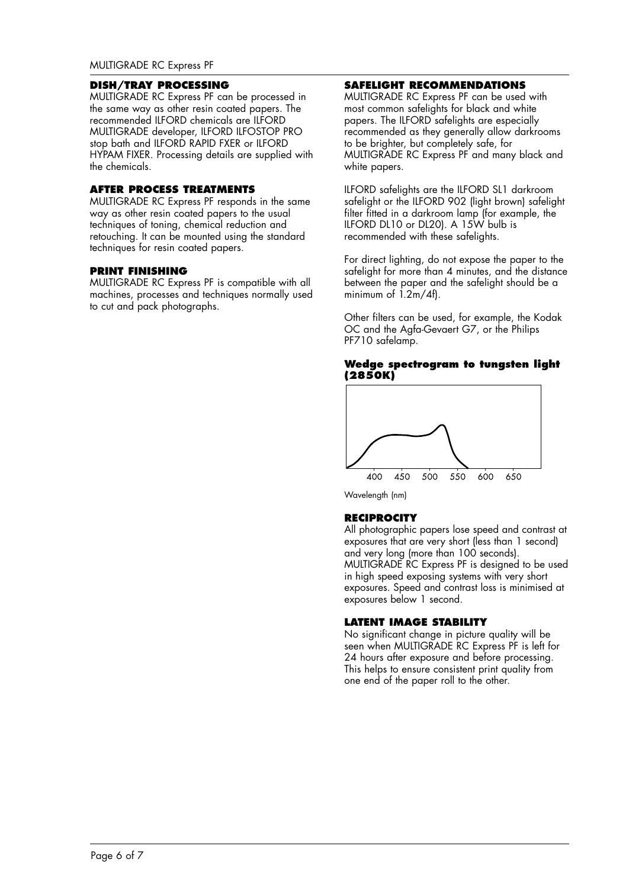## **DISH/TRAY PROCESSING**

MULTIGRADE RC Express PF can be processed in the same way as other resin coated papers. The recommended ILFORD chemicals are ILFORD MULTIGRADE developer, ILFORD ILFOSTOP PRO stop bath and ILFORD RAPID FXER or ILFORD HYPAM FIXER. Processing details are supplied with the chemicals.

#### **AFTER PROCESS TREATMENTS**

MULTIGRADE RC Express PF responds in the same way as other resin coated papers to the usual techniques of toning, chemical reduction and retouching. It can be mounted using the standard techniques for resin coated papers.

#### **PRINT FINISHING**

MULTIGRADE RC Express PF is compatible with all machines, processes and techniques normally used to cut and pack photographs.

## **SAFELIGHT RECOMMENDATIONS**

MULTIGRADE RC Express PF can be used with most common safelights for black and white papers. The ILFORD safelights are especially recommended as they generally allow darkrooms to be brighter, but completely safe, for MULTIGRADE RC Express PF and many black and white papers.

ILFORD safelights are the ILFORD SL1 darkroom safelight or the ILFORD 902 (light brown) safelight filter fitted in a darkroom lamp (for example, the ILFORD DL10 or DL20). A 15W bulb is recommended with these safelights.

For direct lighting, do not expose the paper to the safelight for more than 4 minutes, and the distance between the paper and the safelight should be a minimum of  $1.2m/4f$ .

Other filters can be used, for example, the Kodak OC and the Agfa-Gevaert G7, or the Philips PF710 safelamp.

#### **Wedge spectrogram to tungsten light (2850K)**



Wavelength (nm)

## **RECIPROCITY**

All photographic papers lose speed and contrast at exposures that are very short (less than 1 second) and very long (more than 100 seconds). MULTIGRADE RC Express PF is designed to be used in high speed exposing systems with very short exposures. Speed and contrast loss is minimised at exposures below 1 second.

## **LATENT IMAGE STABILITY**

No significant change in picture quality will be seen when MULTIGRADE RC Express PF is left for 24 hours after exposure and before processing. This helps to ensure consistent print quality from one end of the paper roll to the other.